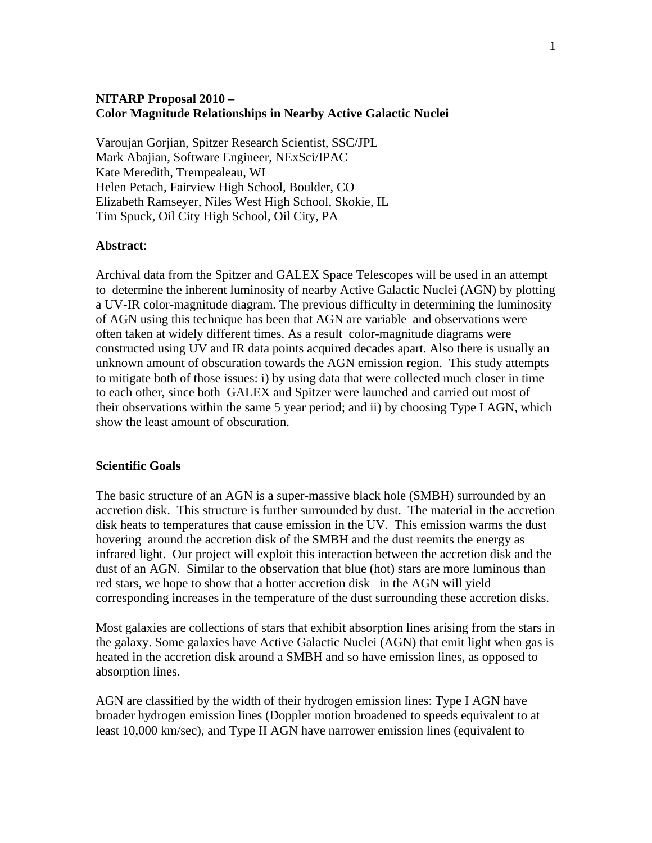# **NITARP Proposal 2010 – Color Magnitude Relationships in Nearby Active Galactic Nuclei**

Varoujan Gorjian, Spitzer Research Scientist, SSC/JPL Mark Abajian, Software Engineer, NExSci/IPAC Kate Meredith, Trempealeau, WI Helen Petach, Fairview High School, Boulder, CO Elizabeth Ramseyer, Niles West High School, Skokie, IL Tim Spuck, Oil City High School, Oil City, PA

## **Abstract**:

Archival data from the Spitzer and GALEX Space Telescopes will be used in an attempt to determine the inherent luminosity of nearby Active Galactic Nuclei (AGN) by plotting a UV-IR color-magnitude diagram. The previous difficulty in determining the luminosity of AGN using this technique has been that AGN are variable and observations were often taken at widely different times. As a result color-magnitude diagrams were constructed using UV and IR data points acquired decades apart. Also there is usually an unknown amount of obscuration towards the AGN emission region. This study attempts to mitigate both of those issues: i) by using data that were collected much closer in time to each other, since both GALEX and Spitzer were launched and carried out most of their observations within the same 5 year period; and ii) by choosing Type I AGN, which show the least amount of obscuration.

### **Scientific Goals**

The basic structure of an AGN is a super-massive black hole (SMBH) surrounded by an accretion disk. This structure is further surrounded by dust. The material in the accretion disk heats to temperatures that cause emission in the UV. This emission warms the dust hovering around the accretion disk of the SMBH and the dust reemits the energy as infrared light. Our project will exploit this interaction between the accretion disk and the dust of an AGN. Similar to the observation that blue (hot) stars are more luminous than red stars, we hope to show that a hotter accretion disk in the AGN will yield corresponding increases in the temperature of the dust surrounding these accretion disks.

Most galaxies are collections of stars that exhibit absorption lines arising from the stars in the galaxy. Some galaxies have Active Galactic Nuclei (AGN) that emit light when gas is heated in the accretion disk around a SMBH and so have emission lines, as opposed to absorption lines.

AGN are classified by the width of their hydrogen emission lines: Type I AGN have broader hydrogen emission lines (Doppler motion broadened to speeds equivalent to at least 10,000 km/sec), and Type II AGN have narrower emission lines (equivalent to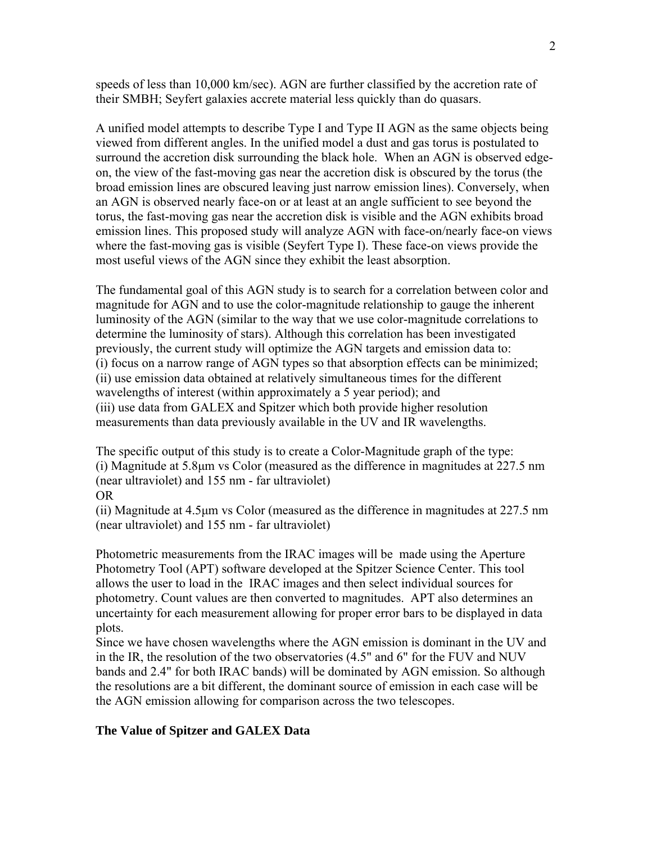speeds of less than 10,000 km/sec). AGN are further classified by the accretion rate of their SMBH; Seyfert galaxies accrete material less quickly than do quasars.

A unified model attempts to describe Type I and Type II AGN as the same objects being viewed from different angles. In the unified model a dust and gas torus is postulated to surround the accretion disk surrounding the black hole. When an AGN is observed edgeon, the view of the fast-moving gas near the accretion disk is obscured by the torus (the broad emission lines are obscured leaving just narrow emission lines). Conversely, when an AGN is observed nearly face-on or at least at an angle sufficient to see beyond the torus, the fast-moving gas near the accretion disk is visible and the AGN exhibits broad emission lines. This proposed study will analyze AGN with face-on/nearly face-on views where the fast-moving gas is visible (Seyfert Type I). These face-on views provide the most useful views of the AGN since they exhibit the least absorption.

The fundamental goal of this AGN study is to search for a correlation between color and magnitude for AGN and to use the color-magnitude relationship to gauge the inherent luminosity of the AGN (similar to the way that we use color-magnitude correlations to determine the luminosity of stars). Although this correlation has been investigated previously, the current study will optimize the AGN targets and emission data to: (i) focus on a narrow range of AGN types so that absorption effects can be minimized; (ii) use emission data obtained at relatively simultaneous times for the different wavelengths of interest (within approximately a 5 year period); and (iii) use data from GALEX and Spitzer which both provide higher resolution measurements than data previously available in the UV and IR wavelengths.

The specific output of this study is to create a Color-Magnitude graph of the type: (i) Magnitude at 5.8μm vs Color (measured as the difference in magnitudes at 227.5 nm (near ultraviolet) and 155 nm - far ultraviolet) OR

(ii) Magnitude at 4.5μm vs Color (measured as the difference in magnitudes at 227.5 nm (near ultraviolet) and 155 nm - far ultraviolet)

Photometric measurements from the IRAC images will be made using the Aperture Photometry Tool (APT) software developed at the Spitzer Science Center. This tool allows the user to load in the IRAC images and then select individual sources for photometry. Count values are then converted to magnitudes. APT also determines an uncertainty for each measurement allowing for proper error bars to be displayed in data plots.

Since we have chosen wavelengths where the AGN emission is dominant in the UV and in the IR, the resolution of the two observatories (4.5" and 6" for the FUV and NUV bands and 2.4" for both IRAC bands) will be dominated by AGN emission. So although the resolutions are a bit different, the dominant source of emission in each case will be the AGN emission allowing for comparison across the two telescopes.

#### **The Value of Spitzer and GALEX Data**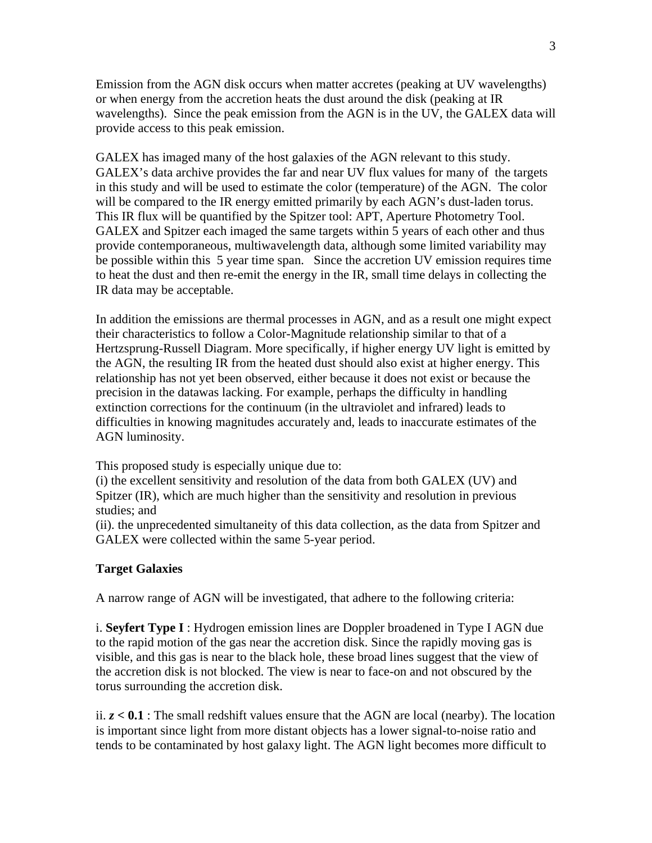Emission from the AGN disk occurs when matter accretes (peaking at UV wavelengths) or when energy from the accretion heats the dust around the disk (peaking at IR wavelengths). Since the peak emission from the AGN is in the UV, the GALEX data will provide access to this peak emission.

GALEX has imaged many of the host galaxies of the AGN relevant to this study. GALEX's data archive provides the far and near UV flux values for many of the targets in this study and will be used to estimate the color (temperature) of the AGN. The color will be compared to the IR energy emitted primarily by each AGN's dust-laden torus. This IR flux will be quantified by the Spitzer tool: APT, Aperture Photometry Tool. GALEX and Spitzer each imaged the same targets within 5 years of each other and thus provide contemporaneous, multiwavelength data, although some limited variability may be possible within this 5 year time span. Since the accretion UV emission requires time to heat the dust and then re-emit the energy in the IR, small time delays in collecting the IR data may be acceptable.

In addition the emissions are thermal processes in AGN, and as a result one might expect their characteristics to follow a Color-Magnitude relationship similar to that of a Hertzsprung-Russell Diagram. More specifically, if higher energy UV light is emitted by the AGN, the resulting IR from the heated dust should also exist at higher energy. This relationship has not yet been observed, either because it does not exist or because the precision in the datawas lacking. For example, perhaps the difficulty in handling extinction corrections for the continuum (in the ultraviolet and infrared) leads to difficulties in knowing magnitudes accurately and, leads to inaccurate estimates of the AGN luminosity.

This proposed study is especially unique due to:

(i) the excellent sensitivity and resolution of the data from both GALEX (UV) and Spitzer (IR), which are much higher than the sensitivity and resolution in previous studies; and

(ii). the unprecedented simultaneity of this data collection, as the data from Spitzer and GALEX were collected within the same 5-year period.

### **Target Galaxies**

A narrow range of AGN will be investigated, that adhere to the following criteria:

i. **Seyfert Type I** : Hydrogen emission lines are Doppler broadened in Type I AGN due to the rapid motion of the gas near the accretion disk. Since the rapidly moving gas is visible, and this gas is near to the black hole, these broad lines suggest that the view of the accretion disk is not blocked. The view is near to face-on and not obscured by the torus surrounding the accretion disk.

ii.  $z < 0.1$ : The small redshift values ensure that the AGN are local (nearby). The location is important since light from more distant objects has a lower signal-to-noise ratio and tends to be contaminated by host galaxy light. The AGN light becomes more difficult to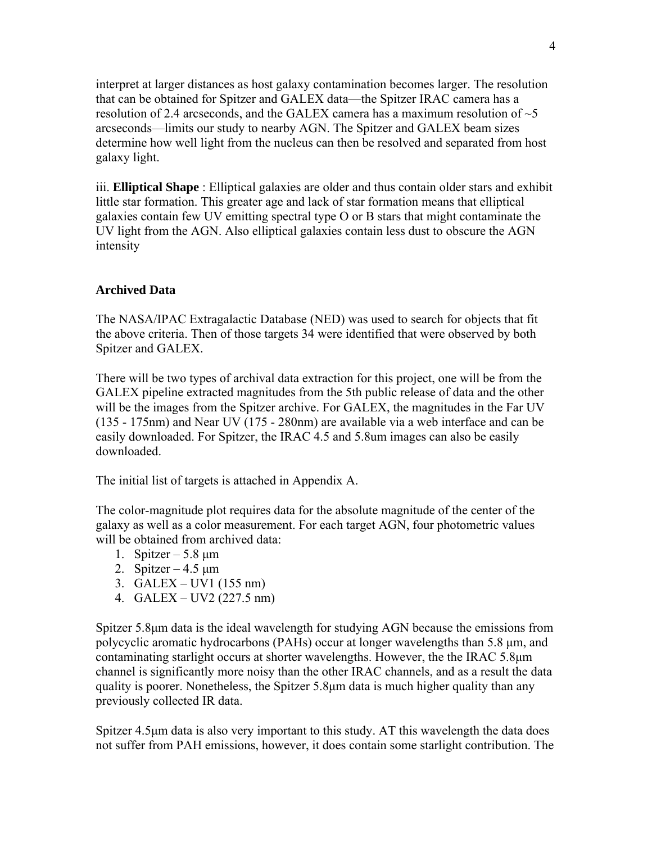interpret at larger distances as host galaxy contamination becomes larger. The resolution that can be obtained for Spitzer and GALEX data—the Spitzer IRAC camera has a resolution of 2.4 arcseconds, and the GALEX camera has a maximum resolution of  $\sim$  5 arcseconds—limits our study to nearby AGN. The Spitzer and GALEX beam sizes determine how well light from the nucleus can then be resolved and separated from host galaxy light.

iii. **Elliptical Shape** : Elliptical galaxies are older and thus contain older stars and exhibit little star formation. This greater age and lack of star formation means that elliptical galaxies contain few UV emitting spectral type O or B stars that might contaminate the UV light from the AGN. Also elliptical galaxies contain less dust to obscure the AGN intensity

## **Archived Data**

The NASA/IPAC Extragalactic Database (NED) was used to search for objects that fit the above criteria. Then of those targets 34 were identified that were observed by both Spitzer and GALEX.

There will be two types of archival data extraction for this project, one will be from the GALEX pipeline extracted magnitudes from the 5th public release of data and the other will be the images from the Spitzer archive. For GALEX, the magnitudes in the Far UV (135 - 175nm) and Near UV (175 - 280nm) are available via a web interface and can be easily downloaded. For Spitzer, the IRAC 4.5 and 5.8um images can also be easily downloaded.

The initial list of targets is attached in Appendix A.

The color-magnitude plot requires data for the absolute magnitude of the center of the galaxy as well as a color measurement. For each target AGN, four photometric values will be obtained from archived data:

- 1. Spitzer  $5.8 \mu m$
- 2. Spitzer  $4.5 \text{ }\mu\text{m}$
- 3. GALEX UV1 (155 nm)
- 4. GALEX UV2 (227.5 nm)

Spitzer 5.8μm data is the ideal wavelength for studying AGN because the emissions from polycyclic aromatic hydrocarbons (PAHs) occur at longer wavelengths than 5.8 μm, and contaminating starlight occurs at shorter wavelengths. However, the the IRAC 5.8μm channel is significantly more noisy than the other IRAC channels, and as a result the data quality is poorer. Nonetheless, the Spitzer 5.8μm data is much higher quality than any previously collected IR data.

Spitzer 4.5μm data is also very important to this study. AT this wavelength the data does not suffer from PAH emissions, however, it does contain some starlight contribution. The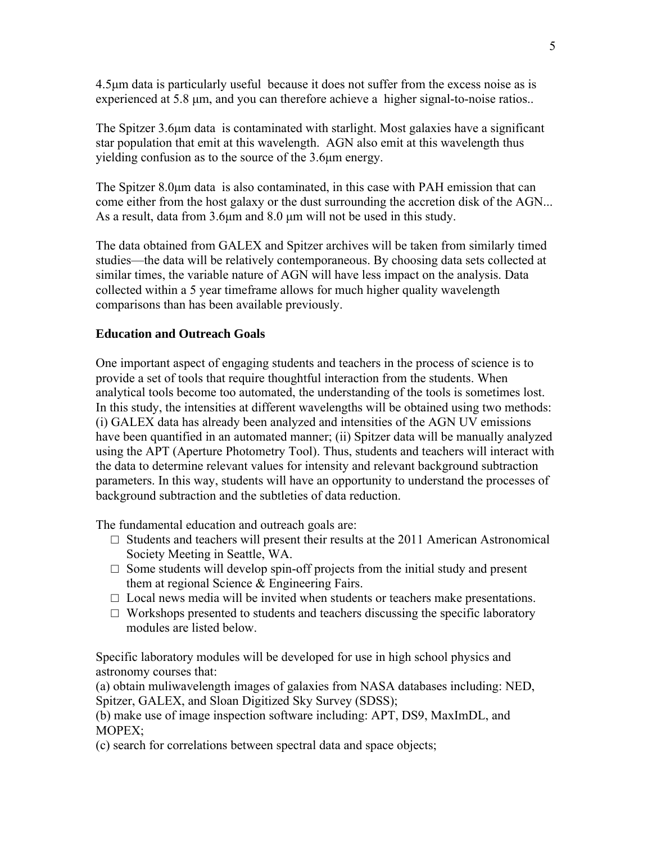4.5μm data is particularly useful because it does not suffer from the excess noise as is experienced at 5.8 μm, and you can therefore achieve a higher signal-to-noise ratios..

The Spitzer 3.6μm data is contaminated with starlight. Most galaxies have a significant star population that emit at this wavelength. AGN also emit at this wavelength thus yielding confusion as to the source of the 3.6μm energy.

The Spitzer 8.0μm data is also contaminated, in this case with PAH emission that can come either from the host galaxy or the dust surrounding the accretion disk of the AGN... As a result, data from 3.6μm and 8.0 μm will not be used in this study.

The data obtained from GALEX and Spitzer archives will be taken from similarly timed studies—the data will be relatively contemporaneous. By choosing data sets collected at similar times, the variable nature of AGN will have less impact on the analysis. Data collected within a 5 year timeframe allows for much higher quality wavelength comparisons than has been available previously.

# **Education and Outreach Goals**

One important aspect of engaging students and teachers in the process of science is to provide a set of tools that require thoughtful interaction from the students. When analytical tools become too automated, the understanding of the tools is sometimes lost. In this study, the intensities at different wavelengths will be obtained using two methods: (i) GALEX data has already been analyzed and intensities of the AGN UV emissions have been quantified in an automated manner; (ii) Spitzer data will be manually analyzed using the APT (Aperture Photometry Tool). Thus, students and teachers will interact with the data to determine relevant values for intensity and relevant background subtraction parameters. In this way, students will have an opportunity to understand the processes of background subtraction and the subtleties of data reduction.

The fundamental education and outreach goals are:

- $\Box$  Students and teachers will present their results at the 2011 American Astronomical Society Meeting in Seattle, WA.
- $\Box$  Some students will develop spin-off projects from the initial study and present them at regional Science & Engineering Fairs.
- $\Box$  Local news media will be invited when students or teachers make presentations.
- $\Box$  Workshops presented to students and teachers discussing the specific laboratory modules are listed below.

Specific laboratory modules will be developed for use in high school physics and astronomy courses that:

(a) obtain muliwavelength images of galaxies from NASA databases including: NED, Spitzer, GALEX, and Sloan Digitized Sky Survey (SDSS);

(b) make use of image inspection software including: APT, DS9, MaxImDL, and MOPEX;

(c) search for correlations between spectral data and space objects;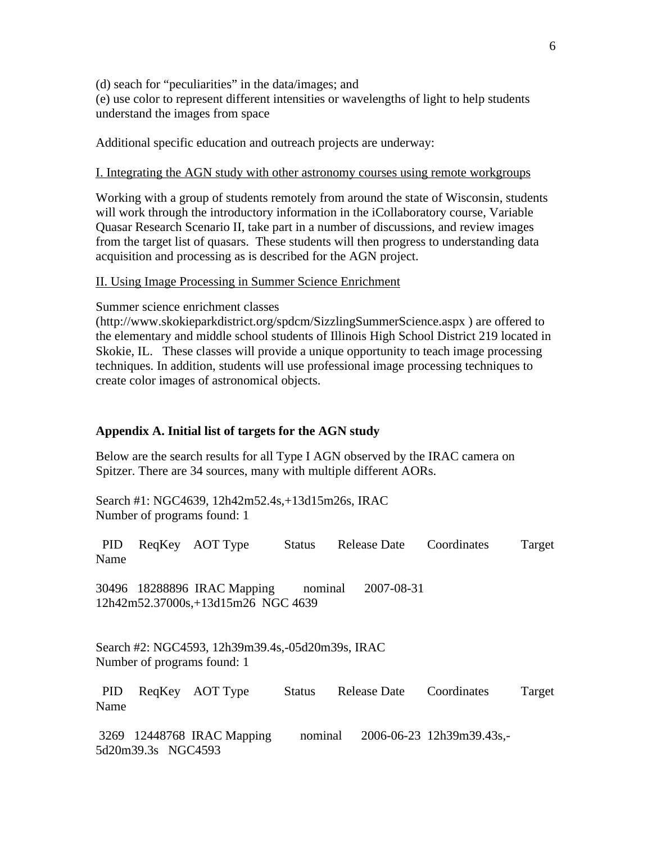(d) seach for "peculiarities" in the data/images; and (e) use color to represent different intensities or wavelengths of light to help students understand the images from space

Additional specific education and outreach projects are underway:

### I. Integrating the AGN study with other astronomy courses using remote workgroups

Working with a group of students remotely from around the state of Wisconsin, students will work through the introductory information in the iCollaboratory course, Variable Quasar Research Scenario II, take part in a number of discussions, and review images from the target list of quasars. These students will then progress to understanding data acquisition and processing as is described for the AGN project.

### II. Using Image Processing in Summer Science Enrichment

Summer science enrichment classes

(http://www.skokieparkdistrict.org/spdcm/SizzlingSummerScience.aspx ) are offered to the elementary and middle school students of Illinois High School District 219 located in Skokie, IL. These classes will provide a unique opportunity to teach image processing techniques. In addition, students will use professional image processing techniques to create color images of astronomical objects.

#### **Appendix A. Initial list of targets for the AGN study**

Below are the search results for all Type I AGN observed by the IRAC camera on Spitzer. There are 34 sources, many with multiple different AORs.

Search #1: NGC4639, 12h42m52.4s,+13d15m26s, IRAC Number of programs found: 1

|      | PID ReqKey AOT Type |  | Status Release Date Coordinates | Target |
|------|---------------------|--|---------------------------------|--------|
| Name |                     |  |                                 |        |

30496 18288896 IRAC Mapping nominal 2007-08-31 12h42m52.37000s,+13d15m26 NGC 4639

Search #2: NGC4593, 12h39m39.4s,-05d20m39s, IRAC Number of programs found: 1

 PID ReqKey AOT Type Status Release Date Coordinates Target Name

 3269 12448768 IRAC Mapping nominal 2006-06-23 12h39m39.43s,- 5d20m39.3s NGC4593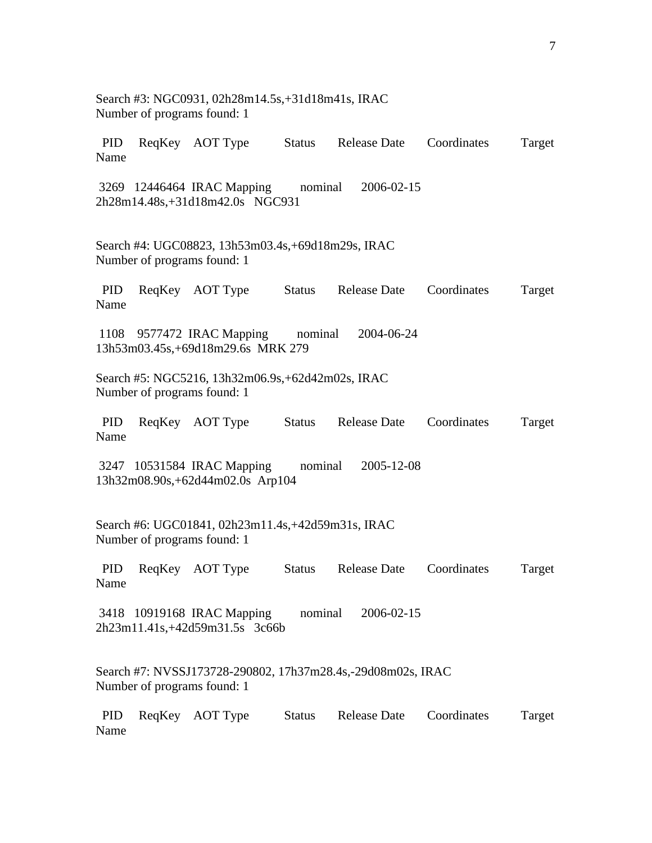|                    | Search #3: NGC0931, 02h28m14.5s, +31d18m41s, IRAC<br>Number of programs found: 1           |               |                     |             |        |
|--------------------|--------------------------------------------------------------------------------------------|---------------|---------------------|-------------|--------|
| PID<br>Name        | ReqKey AOT Type Status Release Date                                                        |               |                     | Coordinates | Target |
|                    | 3269 12446464 IRAC Mapping<br>2h28m14.48s,+31d18m42.0s NGC931                              | nominal       | 2006-02-15          |             |        |
|                    | Search #4: UGC08823, 13h53m03.4s, +69d18m29s, IRAC<br>Number of programs found: 1          |               |                     |             |        |
| <b>PID</b><br>Name | ReqKey AOT Type Status                                                                     |               | <b>Release Date</b> | Coordinates | Target |
|                    | 1108 9577472 IRAC Mapping nominal<br>13h53m03.45s,+69d18m29.6s MRK 279                     |               | 2004-06-24          |             |        |
|                    | Search #5: NGC5216, 13h32m06.9s, +62d42m02s, IRAC<br>Number of programs found: 1           |               |                     |             |        |
| PID<br>Name        | ReqKey AOT Type Status                                                                     |               | Release Date        | Coordinates | Target |
|                    | 3247 10531584 IRAC Mapping<br>13h32m08.90s,+62d44m02.0s Arp104                             | nominal       | 2005-12-08          |             |        |
|                    | Search #6: UGC01841, 02h23m11.4s, +42d59m31s, IRAC<br>Number of programs found: 1          |               |                     |             |        |
| <b>PID</b><br>Name | ReqKey AOT Type                                                                            | <b>Status</b> | <b>Release Date</b> | Coordinates | Target |
|                    | 3418 10919168 IRAC Mapping<br>2h23m11.41s,+42d59m31.5s 3c66b                               | nominal       | 2006-02-15          |             |        |
|                    | Search #7: NVSSJ173728-290802, 17h37m28.4s,-29d08m02s, IRAC<br>Number of programs found: 1 |               |                     |             |        |
| <b>PID</b><br>Name | ReqKey AOT Type                                                                            | <b>Status</b> | <b>Release Date</b> | Coordinates | Target |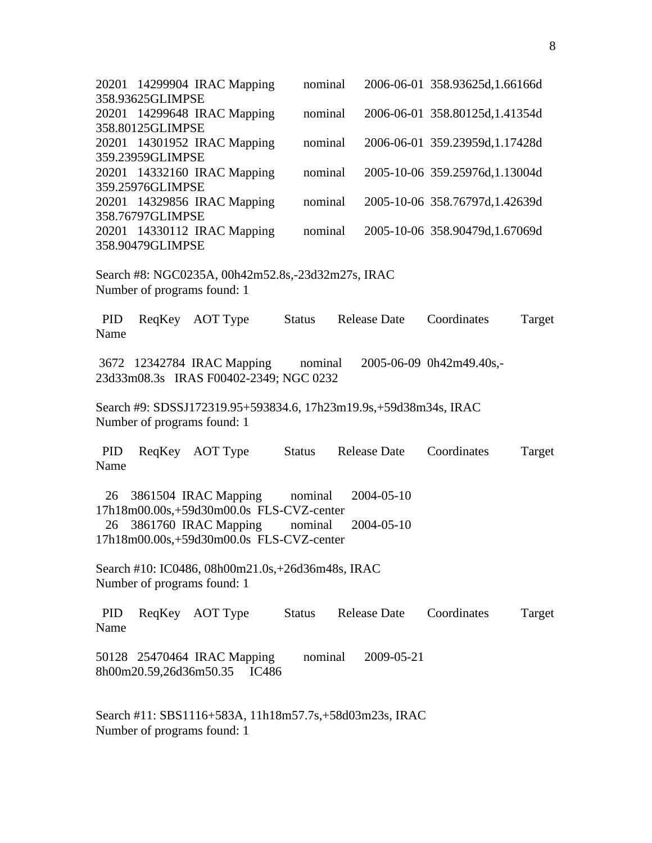|                    | 358.93625GLIMPSE                     | 20201 14299904 IRAC Mapping                                                                     | nominal       |                     | 2006-06-01 358.93625d, 1.66166d |        |
|--------------------|--------------------------------------|-------------------------------------------------------------------------------------------------|---------------|---------------------|---------------------------------|--------|
|                    | 358.80125GLIMPSE                     | 20201 14299648 IRAC Mapping                                                                     | nominal       |                     | 2006-06-01 358.80125d, 1.41354d |        |
|                    |                                      | 20201 14301952 IRAC Mapping                                                                     | nominal       |                     | 2006-06-01 359.23959d, 1.17428d |        |
|                    | 359.23959GLIMPSE                     | 20201 14332160 IRAC Mapping                                                                     | nominal       |                     | 2005-10-06 359.25976d, 1.13004d |        |
|                    | 359.25976GLIMPSE                     | 20201 14329856 IRAC Mapping                                                                     | nominal       |                     | 2005-10-06 358.76797d, 1.42639d |        |
|                    | 358.76797GLIMPSE<br>358.90479GLIMPSE | 20201 14330112 IRAC Mapping                                                                     | nominal       |                     | 2005-10-06 358.90479d, 1.67069d |        |
|                    |                                      | Search #8: NGC0235A, 00h42m52.8s,-23d32m27s, IRAC<br>Number of programs found: 1                |               |                     |                                 |        |
| PID<br>Name        |                                      | ReqKey AOT Type                                                                                 | <b>Status</b> | <b>Release Date</b> | Coordinates                     | Target |
|                    |                                      | 3672 12342784 IRAC Mapping nominal<br>23d33m08.3s IRAS F00402-2349; NGC 0232                    |               |                     | 2005-06-09 0h42m49.40s,-        |        |
|                    |                                      | Search #9: SDSSJ172319.95+593834.6, 17h23m19.9s,+59d38m34s, IRAC<br>Number of programs found: 1 |               |                     |                                 |        |
| PID<br>Name        |                                      | ReqKey AOT Type                                                                                 | Status        | <b>Release Date</b> | Coordinates                     | Target |
| 26                 |                                      | 3861504 IRAC Mapping<br>17h18m00.00s,+59d30m00.0s FLS-CVZ-center                                | nominal       | 2004-05-10          |                                 |        |
| 26                 |                                      | 3861760 IRAC Mapping<br>17h18m00.00s,+59d30m00.0s FLS-CVZ-center                                | nominal       | 2004-05-10          |                                 |        |
|                    |                                      | Search #10: IC0486, 08h00m21.0s, +26d36m48s, IRAC<br>Number of programs found: 1                |               |                     |                                 |        |
| <b>PID</b><br>Name |                                      | ReqKey AOT Type                                                                                 | <b>Status</b> | <b>Release Date</b> | Coordinates                     | Target |
|                    |                                      | 50128 25470464 IRAC Mapping<br>8h00m20.59,26d36m50.35<br>IC486                                  | nominal       | 2009-05-21          |                                 |        |
|                    |                                      | Search #11: SBS1116+583A, 11h18m57.7s,+58d03m23s, IRAC<br>Number of programs found: 1           |               |                     |                                 |        |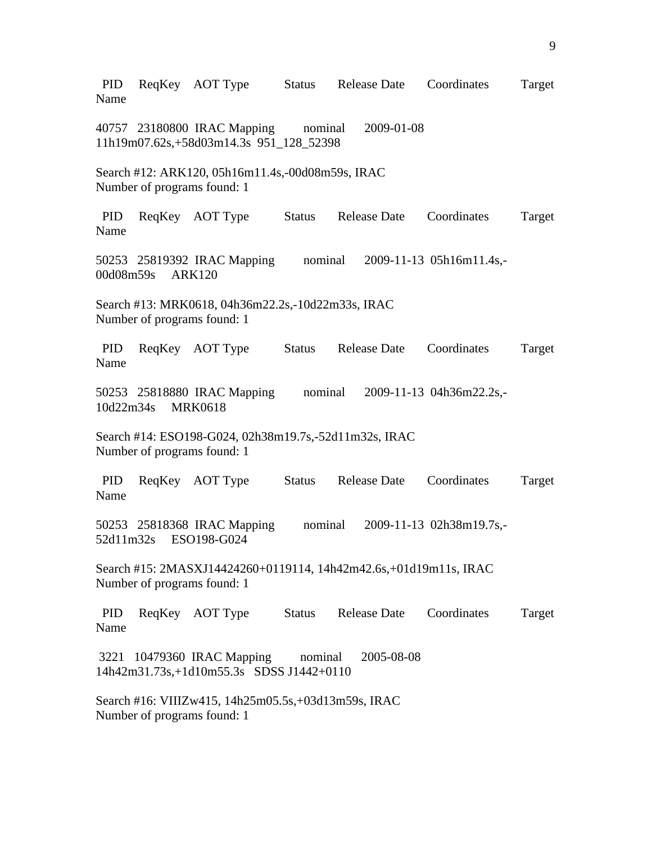PID ReqKey AOT Type Status Release Date Coordinates Target Name 40757 23180800 IRAC Mapping nominal 2009-01-08 11h19m07.62s,+58d03m14.3s 951\_128\_52398 Search #12: ARK120, 05h16m11.4s,-00d08m59s, IRAC Number of programs found: 1 PID ReqKey AOT Type Status Release Date Coordinates Target Name 50253 25819392 IRAC Mapping nominal 2009-11-13 05h16m11.4s,- 00d08m59s ARK120 Search #13: MRK0618, 04h36m22.2s,-10d22m33s, IRAC Number of programs found: 1 PID ReqKey AOT Type Status Release Date Coordinates Target Name 50253 25818880 IRAC Mapping nominal 2009-11-13 04h36m22.2s,- 10d22m34s MRK0618 Search #14: ESO198-G024, 02h38m19.7s,-52d11m32s, IRAC Number of programs found: 1 PID ReqKey AOT Type Status Release Date Coordinates Target Name 50253 25818368 IRAC Mapping nominal 2009-11-13 02h38m19.7s,- 52d11m32s ESO198-G024 Search #15: 2MASXJ14424260+0119114, 14h42m42.6s,+01d19m11s, IRAC Number of programs found: 1 PID ReqKey AOT Type Status Release Date Coordinates Target Name 3221 10479360 IRAC Mapping nominal 2005-08-08 14h42m31.73s,+1d10m55.3s SDSS J1442+0110 Search #16: VIIIZw415, 14h25m05.5s,+03d13m59s, IRAC Number of programs found: 1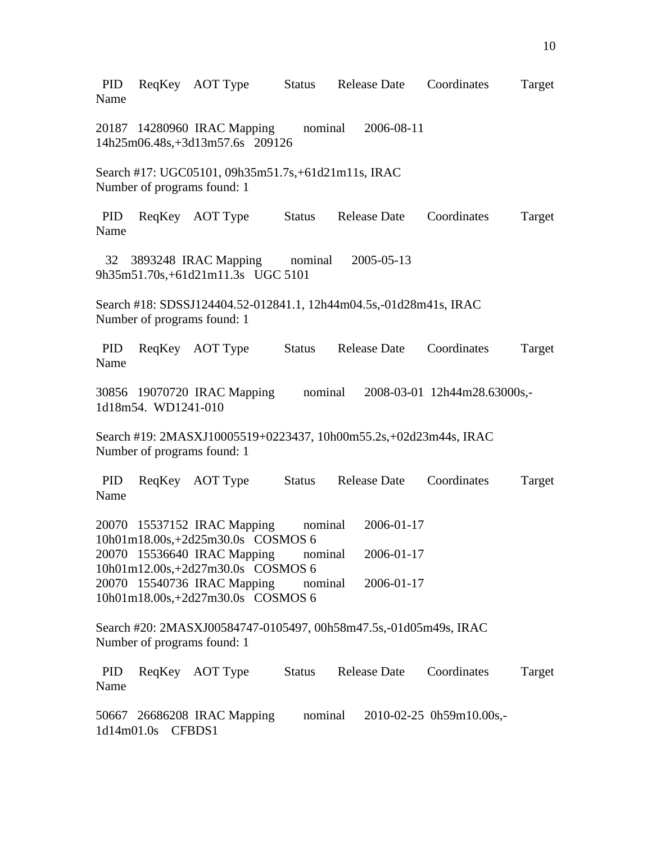PID ReqKey AOT Type Status Release Date Coordinates Target Name 20187 14280960 IRAC Mapping nominal 2006-08-11 14h25m06.48s,+3d13m57.6s 209126 Search #17: UGC05101, 09h35m51.7s,+61d21m11s, IRAC Number of programs found: 1 PID ReqKey AOT Type Status Release Date Coordinates Target Name 32 3893248 IRAC Mapping nominal 2005-05-13 9h35m51.70s,+61d21m11.3s UGC 5101 Search #18: SDSSJ124404.52-012841.1, 12h44m04.5s,-01d28m41s, IRAC Number of programs found: 1 PID ReqKey AOT Type Status Release Date Coordinates Target Name 30856 19070720 IRAC Mapping nominal 2008-03-01 12h44m28.63000s,- 1d18m54. WD1241-010 Search #19: 2MASXJ10005519+0223437, 10h00m55.2s,+02d23m44s, IRAC Number of programs found: 1 PID ReqKey AOT Type Status Release Date Coordinates Target Name 20070 15537152 IRAC Mapping nominal 2006-01-17 10h01m18.00s,+2d25m30.0s COSMOS 6 20070 15536640 IRAC Mapping nominal 2006-01-17 10h01m12.00s,+2d27m30.0s COSMOS 6 20070 15540736 IRAC Mapping nominal 2006-01-17 10h01m18.00s,+2d27m30.0s COSMOS 6 Search #20: 2MASXJ00584747-0105497, 00h58m47.5s,-01d05m49s, IRAC Number of programs found: 1 PID ReqKey AOT Type Status Release Date Coordinates Target Name 50667 26686208 IRAC Mapping nominal 2010-02-25 0h59m10.00s,- 1d14m01.0s CFBDS1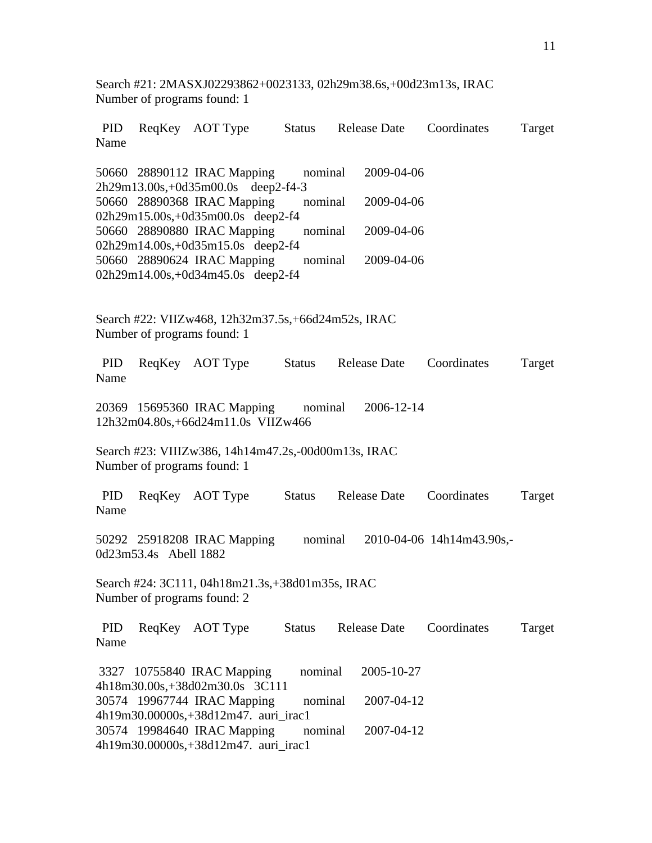Search #21: 2MASXJ02293862+0023133, 02h29m38.6s,+00d23m13s, IRAC Number of programs found: 1

| PID<br>Name        |                       | ReqKey AOT Type Status Release Date                                                |               |                     | Coordinates                       | Target |
|--------------------|-----------------------|------------------------------------------------------------------------------------|---------------|---------------------|-----------------------------------|--------|
|                    |                       | 50660 28890112 IRAC Mapping<br>2h29m13.00s,+0d35m00.0s deep2-f4-3                  | nominal       | 2009-04-06          |                                   |        |
|                    |                       | 50660 28890368 IRAC Mapping nominal<br>02h29m15.00s,+0d35m00.0s deep2-f4           |               | 2009-04-06          |                                   |        |
|                    |                       | 50660 28890880 IRAC Mapping<br>02h29m14.00s,+0d35m15.0s deep2-f4                   | nominal       | 2009-04-06          |                                   |        |
|                    |                       | 50660 28890624 IRAC Mapping<br>02h29m14.00s,+0d34m45.0s deep2-f4                   | nominal       | 2009-04-06          |                                   |        |
|                    |                       | Search #22: VIIZw468, 12h32m37.5s, +66d24m52s, IRAC<br>Number of programs found: 1 |               |                     |                                   |        |
| PID<br>Name        |                       | ReqKey AOT Type                                                                    | Status        | <b>Release Date</b> | Coordinates                       | Target |
|                    |                       | 20369 15695360 IRAC Mapping<br>12h32m04.80s,+66d24m11.0s VIIZw466                  |               | nominal 2006-12-14  |                                   |        |
|                    |                       | Search #23: VIIIZw386, 14h14m47.2s,-00d00m13s, IRAC<br>Number of programs found: 1 |               |                     |                                   |        |
| PID<br>Name        |                       | ReqKey AOT Type                                                                    |               | Status Release Date | Coordinates                       | Target |
|                    | 0d23m53.4s Abell 1882 | 50292 25918208 IRAC Mapping                                                        |               |                     | nominal 2010-04-06 14h14m43.90s,- |        |
|                    |                       | Search #24: 3C111, 04h18m21.3s, +38d01m35s, IRAC<br>Number of programs found: 2    |               |                     |                                   |        |
| <b>PID</b><br>Name |                       | ReqKey AOT Type                                                                    | <b>Status</b> | <b>Release Date</b> | Coordinates                       | Target |
|                    |                       | 3327 10755840 IRAC Mapping<br>4h18m30.00s,+38d02m30.0s 3C111                       | nominal       | 2005-10-27          |                                   |        |
|                    |                       | 30574 19967744 IRAC Mapping<br>4h19m30.00000s,+38d12m47. auri_irac1                | nominal       | 2007-04-12          |                                   |        |
|                    |                       | 30574 19984640 IRAC Mapping<br>4h19m30.00000s,+38d12m47. auri_irac1                | nominal       | 2007-04-12          |                                   |        |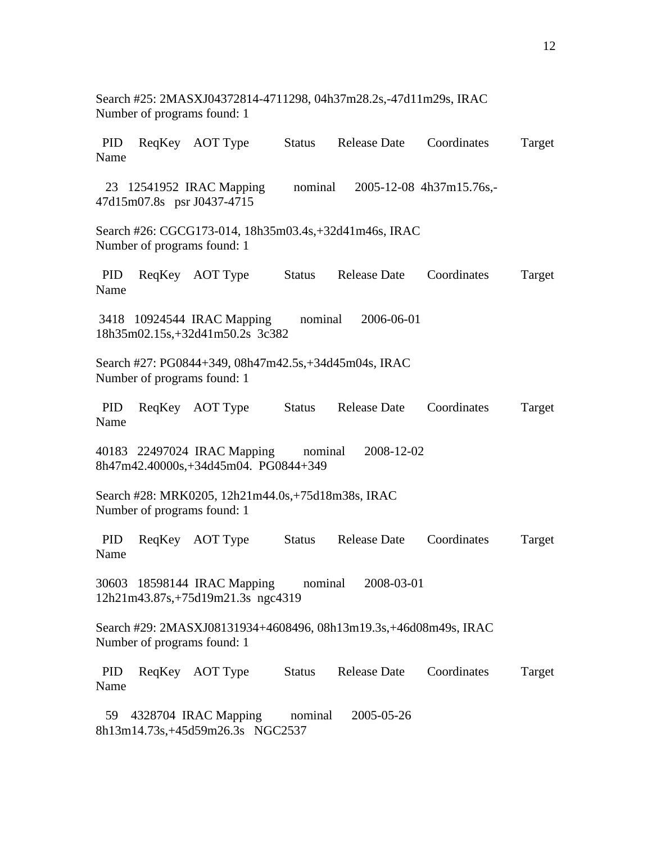PID ReqKey AOT Type Status Release Date Coordinates Target Name 23 12541952 IRAC Mapping nominal 2005-12-08 4h37m15.76s,- 47d15m07.8s psr J0437-4715 Search #26: CGCG173-014, 18h35m03.4s,+32d41m46s, IRAC Number of programs found: 1 PID ReqKey AOT Type Status Release Date Coordinates Target Name 3418 10924544 IRAC Mapping nominal 2006-06-01 18h35m02.15s,+32d41m50.2s 3c382 Search #27: PG0844+349, 08h47m42.5s,+34d45m04s, IRAC Number of programs found: 1 PID ReqKey AOT Type Status Release Date Coordinates Target Name 40183 22497024 IRAC Mapping nominal 2008-12-02 8h47m42.40000s,+34d45m04. PG0844+349 Search #28: MRK0205, 12h21m44.0s,+75d18m38s, IRAC Number of programs found: 1 PID ReqKey AOT Type Status Release Date Coordinates Target Name 30603 18598144 IRAC Mapping nominal 2008-03-01 12h21m43.87s,+75d19m21.3s ngc4319 Search #29: 2MASXJ08131934+4608496, 08h13m19.3s,+46d08m49s, IRAC Number of programs found: 1 PID ReqKey AOT Type Status Release Date Coordinates Target Name 59 4328704 IRAC Mapping nominal 2005-05-26 8h13m14.73s,+45d59m26.3s NGC2537

Search #25: 2MASXJ04372814-4711298, 04h37m28.2s,-47d11m29s, IRAC

Number of programs found: 1

12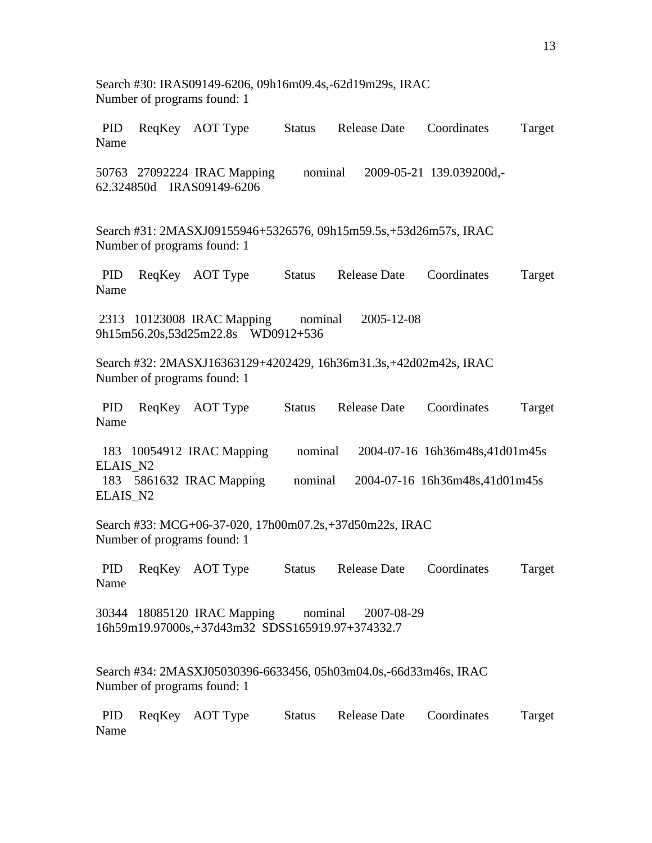Search #30: IRAS09149-6206, 09h16m09.4s,-62d19m29s, IRAC Number of programs found: 1 PID ReqKey AOT Type Status Release Date Coordinates Target Name 50763 27092224 IRAC Mapping nominal 2009-05-21 139.039200d,- 62.324850d IRAS09149-6206 Search #31: 2MASXJ09155946+5326576, 09h15m59.5s,+53d26m57s, IRAC Number of programs found: 1 PID ReqKey AOT Type Status Release Date Coordinates Target Name 2313 10123008 IRAC Mapping nominal 2005-12-08 9h15m56.20s,53d25m22.8s WD0912+536 Search #32: 2MASXJ16363129+4202429, 16h36m31.3s,+42d02m42s, IRAC Number of programs found: 1 PID ReqKey AOT Type Status Release Date Coordinates Target Name 183 10054912 IRAC Mapping nominal 2004-07-16 16h36m48s,41d01m45s ELAIS\_N2 183 5861632 IRAC Mapping nominal 2004-07-16 16h36m48s,41d01m45s ELAIS\_N2 Search #33: MCG+06-37-020, 17h00m07.2s,+37d50m22s, IRAC Number of programs found: 1 PID ReqKey AOT Type Status Release Date Coordinates Target Name 30344 18085120 IRAC Mapping nominal 2007-08-29 16h59m19.97000s,+37d43m32 SDSS165919.97+374332.7 Search #34: 2MASXJ05030396-6633456, 05h03m04.0s,-66d33m46s, IRAC Number of programs found: 1 PID ReqKey AOT Type Status Release Date Coordinates Target Name